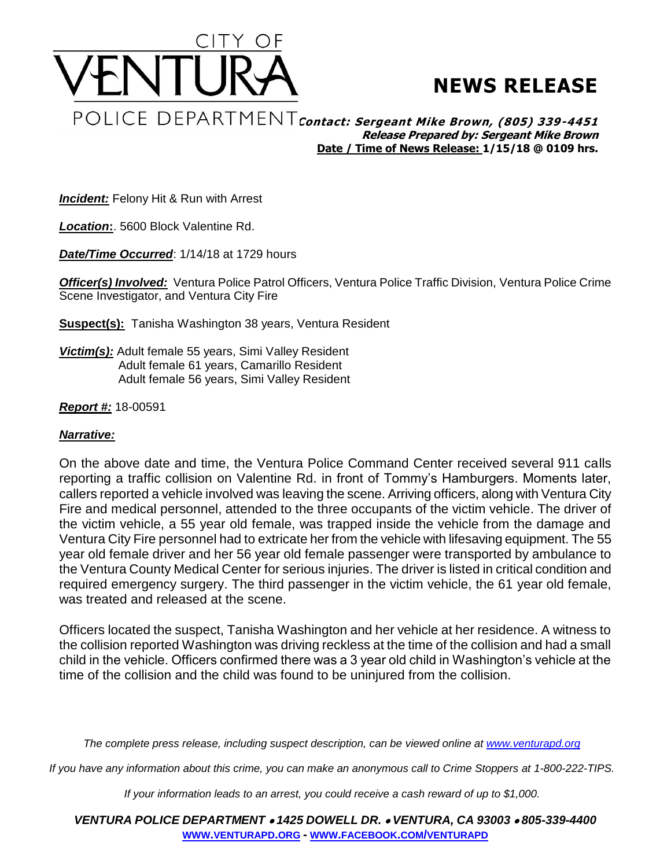

## **NEWS RELEASE**

<code>POLICE DEPARTMENT</code> contact: Sergeant Mike Brown, (805) 339-4451 **Release Prepared by: Sergeant Mike Brown Date / Time of News Release: 1/15/18 @ 0109 hrs.**

**Incident:** Felony Hit & Run with Arrest

*Location***:**. 5600 Block Valentine Rd.

*Date/Time Occurred*: 1/14/18 at 1729 hours

*Officer(s) Involved:* Ventura Police Patrol Officers, Ventura Police Traffic Division, Ventura Police Crime Scene Investigator, and Ventura City Fire

**Suspect(s):** Tanisha Washington 38 years, Ventura Resident

*Victim(s):* Adult female 55 years, Simi Valley Resident Adult female 61 years, Camarillo Resident Adult female 56 years, Simi Valley Resident

## *Report #:* 18-00591

## *Narrative:*

On the above date and time, the Ventura Police Command Center received several 911 calls reporting a traffic collision on Valentine Rd. in front of Tommy's Hamburgers. Moments later, callers reported a vehicle involved was leaving the scene. Arriving officers, along with Ventura City Fire and medical personnel, attended to the three occupants of the victim vehicle. The driver of the victim vehicle, a 55 year old female, was trapped inside the vehicle from the damage and Ventura City Fire personnel had to extricate her from the vehicle with lifesaving equipment. The 55 year old female driver and her 56 year old female passenger were transported by ambulance to the Ventura County Medical Center for serious injuries. The driver is listed in critical condition and required emergency surgery. The third passenger in the victim vehicle, the 61 year old female, was treated and released at the scene.

Officers located the suspect, Tanisha Washington and her vehicle at her residence. A witness to the collision reported Washington was driving reckless at the time of the collision and had a small child in the vehicle. Officers confirmed there was a 3 year old child in Washington's vehicle at the time of the collision and the child was found to be uninjured from the collision.

*The complete press release, including suspect description, can be viewed online at [www.venturapd.org](http://www.venturapd.org/)*

*If you have any information about this crime, you can make an anonymous call to Crime Stoppers at 1-800-222-TIPS.*

*If your information leads to an arrest, you could receive a cash reward of up to \$1,000.*

*VENTURA POLICE DEPARTMENT 1425 DOWELL DR. VENTURA, CA 93003 805-339-4400* **WWW.[VENTURAPD](http://www.venturapd.org/).ORG** *-* **WWW.FACEBOOK.COM/[VENTURAPD](http://www.facebook.com/venturapd)**